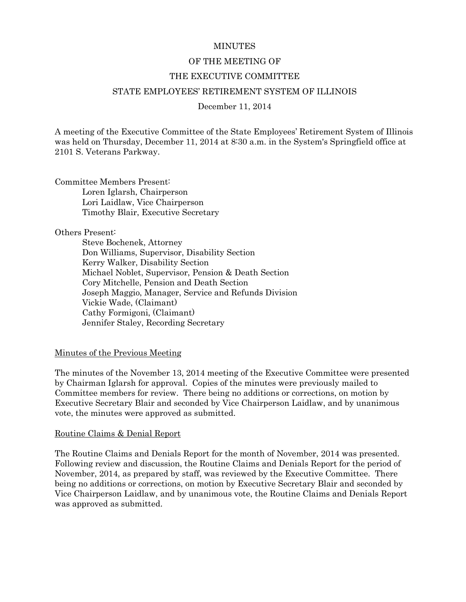#### **MINUTES**

#### OF THE MEETING OF

#### THE EXECUTIVE COMMITTEE

#### STATE EMPLOYEES' RETIREMENT SYSTEM OF ILLINOIS

#### December 11, 2014

A meeting of the Executive Committee of the State Employees' Retirement System of Illinois was held on Thursday, December 11, 2014 at 8:30 a.m. in the System's Springfield office at 2101 S. Veterans Parkway.

Committee Members Present: Loren Iglarsh, Chairperson Lori Laidlaw, Vice Chairperson Timothy Blair, Executive Secretary

#### Others Present:

Steve Bochenek, Attorney Don Williams, Supervisor, Disability Section Kerry Walker, Disability Section Michael Noblet, Supervisor, Pension & Death Section Cory Mitchelle, Pension and Death Section Joseph Maggio, Manager, Service and Refunds Division Vickie Wade, (Claimant) Cathy Formigoni, (Claimant) Jennifer Staley, Recording Secretary

#### Minutes of the Previous Meeting

The minutes of the November 13, 2014 meeting of the Executive Committee were presented by Chairman Iglarsh for approval. Copies of the minutes were previously mailed to Committee members for review. There being no additions or corrections, on motion by Executive Secretary Blair and seconded by Vice Chairperson Laidlaw, and by unanimous vote, the minutes were approved as submitted.

#### Routine Claims & Denial Report

The Routine Claims and Denials Report for the month of November, 2014 was presented. Following review and discussion, the Routine Claims and Denials Report for the period of November, 2014, as prepared by staff, was reviewed by the Executive Committee. There being no additions or corrections, on motion by Executive Secretary Blair and seconded by Vice Chairperson Laidlaw, and by unanimous vote, the Routine Claims and Denials Report was approved as submitted.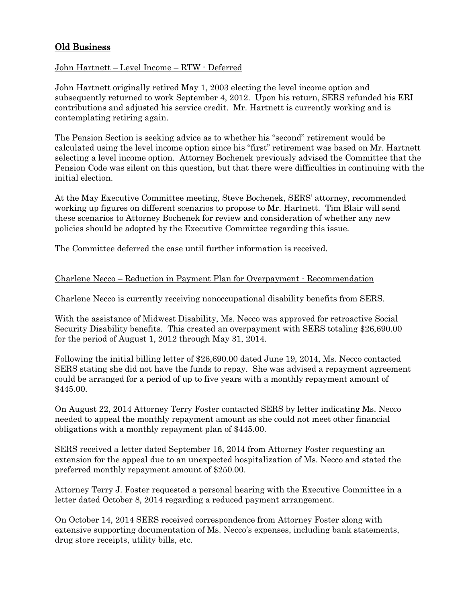# Old Business

# John Hartnett – Level Income – RTW - Deferred

John Hartnett originally retired May 1, 2003 electing the level income option and subsequently returned to work September 4, 2012. Upon his return, SERS refunded his ERI contributions and adjusted his service credit. Mr. Hartnett is currently working and is contemplating retiring again.

The Pension Section is seeking advice as to whether his "second" retirement would be calculated using the level income option since his "first" retirement was based on Mr. Hartnett selecting a level income option. Attorney Bochenek previously advised the Committee that the Pension Code was silent on this question, but that there were difficulties in continuing with the initial election.

At the May Executive Committee meeting, Steve Bochenek, SERS' attorney, recommended working up figures on different scenarios to propose to Mr. Hartnett. Tim Blair will send these scenarios to Attorney Bochenek for review and consideration of whether any new policies should be adopted by the Executive Committee regarding this issue.

The Committee deferred the case until further information is received.

# Charlene Necco – Reduction in Payment Plan for Overpayment - Recommendation

Charlene Necco is currently receiving nonoccupational disability benefits from SERS.

With the assistance of Midwest Disability, Ms. Necco was approved for retroactive Social Security Disability benefits. This created an overpayment with SERS totaling \$26,690.00 for the period of August 1, 2012 through May 31, 2014.

Following the initial billing letter of \$26,690.00 dated June 19, 2014, Ms. Necco contacted SERS stating she did not have the funds to repay. She was advised a repayment agreement could be arranged for a period of up to five years with a monthly repayment amount of \$445.00.

On August 22, 2014 Attorney Terry Foster contacted SERS by letter indicating Ms. Necco needed to appeal the monthly repayment amount as she could not meet other financial obligations with a monthly repayment plan of \$445.00.

SERS received a letter dated September 16, 2014 from Attorney Foster requesting an extension for the appeal due to an unexpected hospitalization of Ms. Necco and stated the preferred monthly repayment amount of \$250.00.

Attorney Terry J. Foster requested a personal hearing with the Executive Committee in a letter dated October 8, 2014 regarding a reduced payment arrangement.

On October 14, 2014 SERS received correspondence from Attorney Foster along with extensive supporting documentation of Ms. Necco's expenses, including bank statements, drug store receipts, utility bills, etc.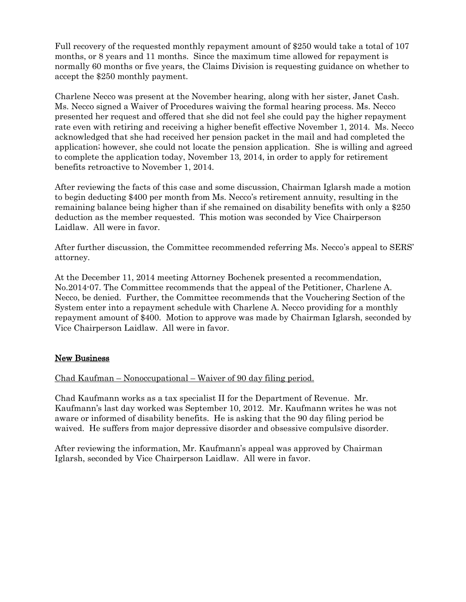Full recovery of the requested monthly repayment amount of \$250 would take a total of 107 months, or 8 years and 11 months. Since the maximum time allowed for repayment is normally 60 months or five years, the Claims Division is requesting guidance on whether to accept the \$250 monthly payment.

Charlene Necco was present at the November hearing, along with her sister, Janet Cash. Ms. Necco signed a Waiver of Procedures waiving the formal hearing process. Ms. Necco presented her request and offered that she did not feel she could pay the higher repayment rate even with retiring and receiving a higher benefit effective November 1, 2014. Ms. Necco acknowledged that she had received her pension packet in the mail and had completed the application; however, she could not locate the pension application. She is willing and agreed to complete the application today, November 13, 2014, in order to apply for retirement benefits retroactive to November 1, 2014.

After reviewing the facts of this case and some discussion, Chairman Iglarsh made a motion to begin deducting \$400 per month from Ms. Necco's retirement annuity, resulting in the remaining balance being higher than if she remained on disability benefits with only a \$250 deduction as the member requested. This motion was seconded by Vice Chairperson Laidlaw. All were in favor.

After further discussion, the Committee recommended referring Ms. Necco's appeal to SERS' attorney.

At the December 11, 2014 meeting Attorney Bochenek presented a recommendation, No.2014-07. The Committee recommends that the appeal of the Petitioner, Charlene A. Necco, be denied. Further, the Committee recommends that the Vouchering Section of the System enter into a repayment schedule with Charlene A. Necco providing for a monthly repayment amount of \$400. Motion to approve was made by Chairman Iglarsh, seconded by Vice Chairperson Laidlaw. All were in favor.

# New Business

Chad Kaufman – Nonoccupational – Waiver of 90 day filing period.

Chad Kaufmann works as a tax specialist II for the Department of Revenue. Mr. Kaufmann's last day worked was September 10, 2012. Mr. Kaufmann writes he was not aware or informed of disability benefits. He is asking that the 90 day filing period be waived. He suffers from major depressive disorder and obsessive compulsive disorder.

After reviewing the information, Mr. Kaufmann's appeal was approved by Chairman Iglarsh, seconded by Vice Chairperson Laidlaw. All were in favor.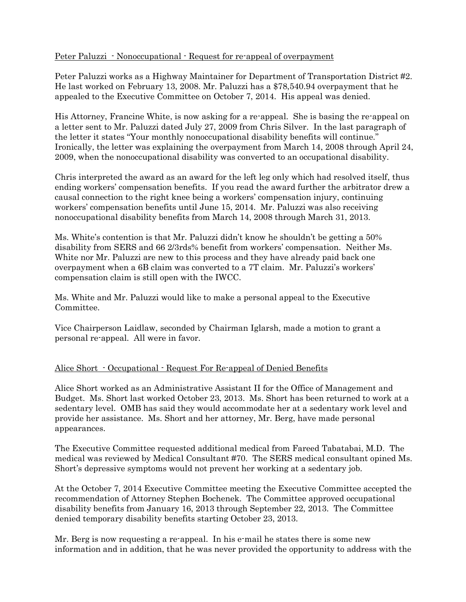### Peter Paluzzi - Nonoccupational - Request for re-appeal of overpayment

Peter Paluzzi works as a Highway Maintainer for Department of Transportation District #2. He last worked on February 13, 2008. Mr. Paluzzi has a \$78,540.94 overpayment that he appealed to the Executive Committee on October 7, 2014. His appeal was denied.

His Attorney, Francine White, is now asking for a re-appeal. She is basing the re-appeal on a letter sent to Mr. Paluzzi dated July 27, 2009 from Chris Silver. In the last paragraph of the letter it states "Your monthly nonoccupational disability benefits will continue." Ironically, the letter was explaining the overpayment from March 14, 2008 through April 24, 2009, when the nonoccupational disability was converted to an occupational disability.

Chris interpreted the award as an award for the left leg only which had resolved itself, thus ending workers' compensation benefits. If you read the award further the arbitrator drew a causal connection to the right knee being a workers' compensation injury, continuing workers' compensation benefits until June 15, 2014. Mr. Paluzzi was also receiving nonoccupational disability benefits from March 14, 2008 through March 31, 2013.

Ms. White's contention is that Mr. Paluzzi didn't know he shouldn't be getting a 50% disability from SERS and 66 2/3rds% benefit from workers' compensation. Neither Ms. White nor Mr. Paluzzi are new to this process and they have already paid back one overpayment when a 6B claim was converted to a 7T claim. Mr. Paluzzi's workers' compensation claim is still open with the IWCC.

Ms. White and Mr. Paluzzi would like to make a personal appeal to the Executive Committee.

Vice Chairperson Laidlaw, seconded by Chairman Iglarsh, made a motion to grant a personal re-appeal. All were in favor.

### Alice Short - Occupational - Request For Re-appeal of Denied Benefits

Alice Short worked as an Administrative Assistant II for the Office of Management and Budget. Ms. Short last worked October 23, 2013. Ms. Short has been returned to work at a sedentary level. OMB has said they would accommodate her at a sedentary work level and provide her assistance. Ms. Short and her attorney, Mr. Berg, have made personal appearances.

The Executive Committee requested additional medical from Fareed Tabatabai, M.D. The medical was reviewed by Medical Consultant #70. The SERS medical consultant opined Ms. Short's depressive symptoms would not prevent her working at a sedentary job.

At the October 7, 2014 Executive Committee meeting the Executive Committee accepted the recommendation of Attorney Stephen Bochenek. The Committee approved occupational disability benefits from January 16, 2013 through September 22, 2013. The Committee denied temporary disability benefits starting October 23, 2013.

Mr. Berg is now requesting a re-appeal. In his e-mail he states there is some new information and in addition, that he was never provided the opportunity to address with the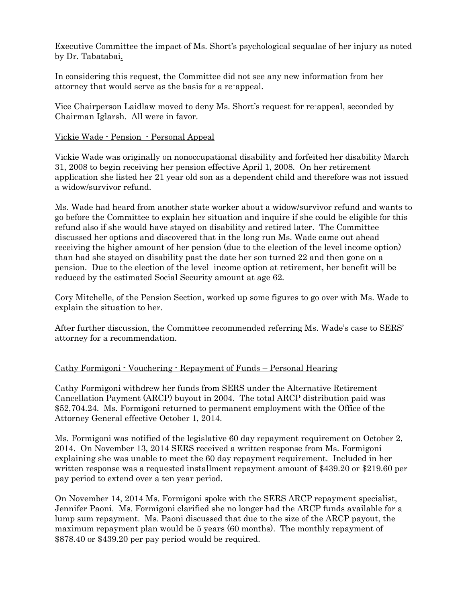Executive Committee the impact of Ms. Short's psychological sequalae of her injury as noted by Dr. Tabatabai.

In considering this request, the Committee did not see any new information from her attorney that would serve as the basis for a re-appeal.

Vice Chairperson Laidlaw moved to deny Ms. Short's request for re-appeal, seconded by Chairman Iglarsh. All were in favor.

## Vickie Wade - Pension - Personal Appeal

Vickie Wade was originally on nonoccupational disability and forfeited her disability March 31, 2008 to begin receiving her pension effective April 1, 2008. On her retirement application she listed her 21 year old son as a dependent child and therefore was not issued a widow/survivor refund.

Ms. Wade had heard from another state worker about a widow/survivor refund and wants to go before the Committee to explain her situation and inquire if she could be eligible for this refund also if she would have stayed on disability and retired later. The Committee discussed her options and discovered that in the long run Ms. Wade came out ahead receiving the higher amount of her pension (due to the election of the level income option) than had she stayed on disability past the date her son turned 22 and then gone on a pension. Due to the election of the level income option at retirement, her benefit will be reduced by the estimated Social Security amount at age 62.

Cory Mitchelle, of the Pension Section, worked up some figures to go over with Ms. Wade to explain the situation to her.

After further discussion, the Committee recommended referring Ms. Wade's case to SERS' attorney for a recommendation.

### Cathy Formigoni - Vouchering - Repayment of Funds – Personal Hearing

Cathy Formigoni withdrew her funds from SERS under the Alternative Retirement Cancellation Payment (ARCP) buyout in 2004. The total ARCP distribution paid was \$52,704.24. Ms. Formigoni returned to permanent employment with the Office of the Attorney General effective October 1, 2014.

Ms. Formigoni was notified of the legislative 60 day repayment requirement on October 2, 2014. On November 13, 2014 SERS received a written response from Ms. Formigoni explaining she was unable to meet the 60 day repayment requirement. Included in her written response was a requested installment repayment amount of \$439.20 or \$219.60 per pay period to extend over a ten year period.

On November 14, 2014 Ms. Formigoni spoke with the SERS ARCP repayment specialist, Jennifer Paoni. Ms. Formigoni clarified she no longer had the ARCP funds available for a lump sum repayment. Ms. Paoni discussed that due to the size of the ARCP payout, the maximum repayment plan would be 5 years (60 months). The monthly repayment of \$878.40 or \$439.20 per pay period would be required.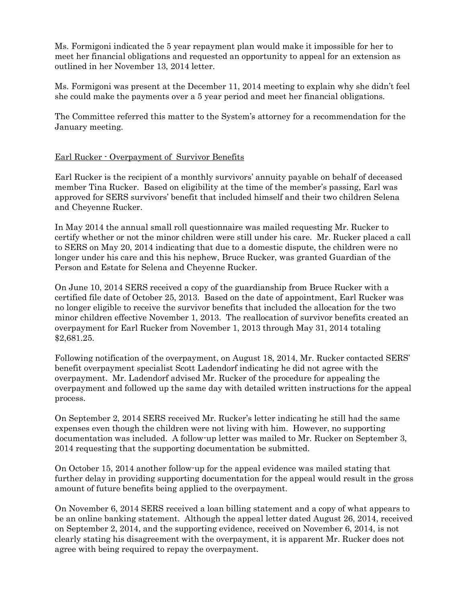Ms. Formigoni indicated the 5 year repayment plan would make it impossible for her to meet her financial obligations and requested an opportunity to appeal for an extension as outlined in her November 13, 2014 letter.

Ms. Formigoni was present at the December 11, 2014 meeting to explain why she didn't feel she could make the payments over a 5 year period and meet her financial obligations.

The Committee referred this matter to the System's attorney for a recommendation for the January meeting.

# Earl Rucker - Overpayment of Survivor Benefits

Earl Rucker is the recipient of a monthly survivors' annuity payable on behalf of deceased member Tina Rucker. Based on eligibility at the time of the member's passing, Earl was approved for SERS survivors' benefit that included himself and their two children Selena and Cheyenne Rucker.

In May 2014 the annual small roll questionnaire was mailed requesting Mr. Rucker to certify whether or not the minor children were still under his care. Mr. Rucker placed a call to SERS on May 20, 2014 indicating that due to a domestic dispute, the children were no longer under his care and this his nephew, Bruce Rucker, was granted Guardian of the Person and Estate for Selena and Cheyenne Rucker.

On June 10, 2014 SERS received a copy of the guardianship from Bruce Rucker with a certified file date of October 25, 2013. Based on the date of appointment, Earl Rucker was no longer eligible to receive the survivor benefits that included the allocation for the two minor children effective November 1, 2013. The reallocation of survivor benefits created an overpayment for Earl Rucker from November 1, 2013 through May 31, 2014 totaling \$2,681.25.

Following notification of the overpayment, on August 18, 2014, Mr. Rucker contacted SERS' benefit overpayment specialist Scott Ladendorf indicating he did not agree with the overpayment. Mr. Ladendorf advised Mr. Rucker of the procedure for appealing the overpayment and followed up the same day with detailed written instructions for the appeal process.

On September 2, 2014 SERS received Mr. Rucker's letter indicating he still had the same expenses even though the children were not living with him. However, no supporting documentation was included. A follow-up letter was mailed to Mr. Rucker on September 3, 2014 requesting that the supporting documentation be submitted.

On October 15, 2014 another follow-up for the appeal evidence was mailed stating that further delay in providing supporting documentation for the appeal would result in the gross amount of future benefits being applied to the overpayment.

On November 6, 2014 SERS received a loan billing statement and a copy of what appears to be an online banking statement. Although the appeal letter dated August 26, 2014, received on September 2, 2014, and the supporting evidence, received on November 6, 2014, is not clearly stating his disagreement with the overpayment, it is apparent Mr. Rucker does not agree with being required to repay the overpayment.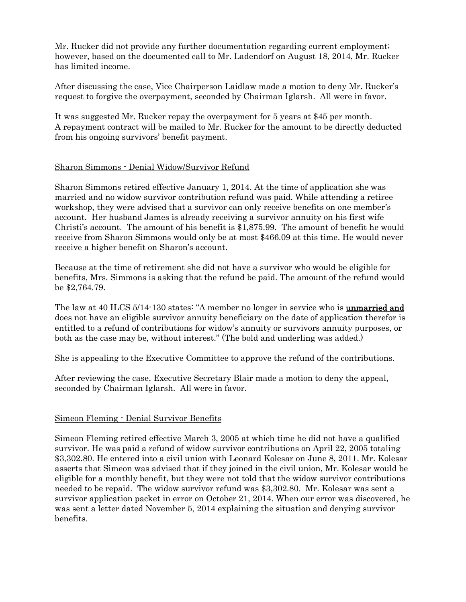Mr. Rucker did not provide any further documentation regarding current employment; however, based on the documented call to Mr. Ladendorf on August 18, 2014, Mr. Rucker has limited income.

After discussing the case, Vice Chairperson Laidlaw made a motion to deny Mr. Rucker's request to forgive the overpayment, seconded by Chairman Iglarsh. All were in favor.

It was suggested Mr. Rucker repay the overpayment for 5 years at \$45 per month. A repayment contract will be mailed to Mr. Rucker for the amount to be directly deducted from his ongoing survivors' benefit payment.

# Sharon Simmons - Denial Widow/Survivor Refund

Sharon Simmons retired effective January 1, 2014. At the time of application she was married and no widow survivor contribution refund was paid. While attending a retiree workshop, they were advised that a survivor can only receive benefits on one member's account. Her husband James is already receiving a survivor annuity on his first wife Christi's account. The amount of his benefit is \$1,875.99. The amount of benefit he would receive from Sharon Simmons would only be at most \$466.09 at this time. He would never receive a higher benefit on Sharon's account.

Because at the time of retirement she did not have a survivor who would be eligible for benefits, Mrs. Simmons is asking that the refund be paid. The amount of the refund would be \$2,764.79.

The law at 40 ILCS 5/14-130 states: "A member no longer in service who is **unmarried and** does not have an eligible survivor annuity beneficiary on the date of application therefor is entitled to a refund of contributions for widow's annuity or survivors annuity purposes, or both as the case may be, without interest." (The bold and underling was added.)

She is appealing to the Executive Committee to approve the refund of the contributions.

After reviewing the case, Executive Secretary Blair made a motion to deny the appeal, seconded by Chairman Iglarsh. All were in favor.

### Simeon Fleming - Denial Survivor Benefits

Simeon Fleming retired effective March 3, 2005 at which time he did not have a qualified survivor. He was paid a refund of widow survivor contributions on April 22, 2005 totaling \$3,302.80. He entered into a civil union with Leonard Kolesar on June 8, 2011. Mr. Kolesar asserts that Simeon was advised that if they joined in the civil union, Mr. Kolesar would be eligible for a monthly benefit, but they were not told that the widow survivor contributions needed to be repaid. The widow survivor refund was \$3,302.80. Mr. Kolesar was sent a survivor application packet in error on October 21, 2014. When our error was discovered, he was sent a letter dated November 5, 2014 explaining the situation and denying survivor benefits.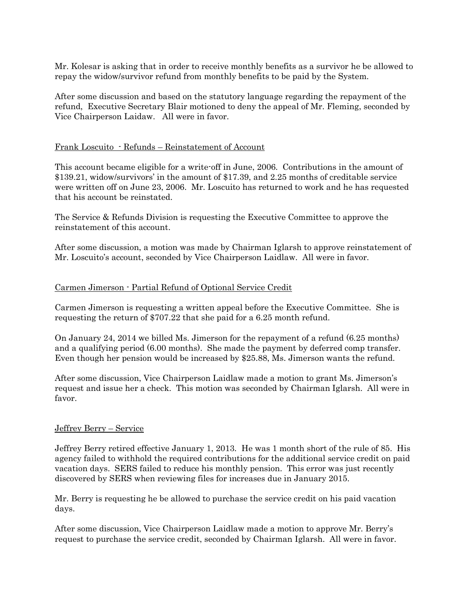Mr. Kolesar is asking that in order to receive monthly benefits as a survivor he be allowed to repay the widow/survivor refund from monthly benefits to be paid by the System.

After some discussion and based on the statutory language regarding the repayment of the refund, Executive Secretary Blair motioned to deny the appeal of Mr. Fleming, seconded by Vice Chairperson Laidaw. All were in favor.

#### Frank Loscuito - Refunds – Reinstatement of Account

This account became eligible for a write-off in June, 2006. Contributions in the amount of \$139.21, widow/survivors' in the amount of \$17.39, and 2.25 months of creditable service were written off on June 23, 2006. Mr. Loscuito has returned to work and he has requested that his account be reinstated.

The Service & Refunds Division is requesting the Executive Committee to approve the reinstatement of this account.

After some discussion, a motion was made by Chairman Iglarsh to approve reinstatement of Mr. Loscuito's account, seconded by Vice Chairperson Laidlaw. All were in favor.

#### Carmen Jimerson - Partial Refund of Optional Service Credit

Carmen Jimerson is requesting a written appeal before the Executive Committee. She is requesting the return of \$707.22 that she paid for a 6.25 month refund.

On January 24, 2014 we billed Ms. Jimerson for the repayment of a refund (6.25 months) and a qualifying period (6.00 months). She made the payment by deferred comp transfer. Even though her pension would be increased by \$25.88, Ms. Jimerson wants the refund.

After some discussion, Vice Chairperson Laidlaw made a motion to grant Ms. Jimerson's request and issue her a check. This motion was seconded by Chairman Iglarsh. All were in favor.

#### Jeffrey Berry – Service

Jeffrey Berry retired effective January 1, 2013. He was 1 month short of the rule of 85. His agency failed to withhold the required contributions for the additional service credit on paid vacation days. SERS failed to reduce his monthly pension. This error was just recently discovered by SERS when reviewing files for increases due in January 2015.

Mr. Berry is requesting he be allowed to purchase the service credit on his paid vacation days.

After some discussion, Vice Chairperson Laidlaw made a motion to approve Mr. Berry's request to purchase the service credit, seconded by Chairman Iglarsh. All were in favor.